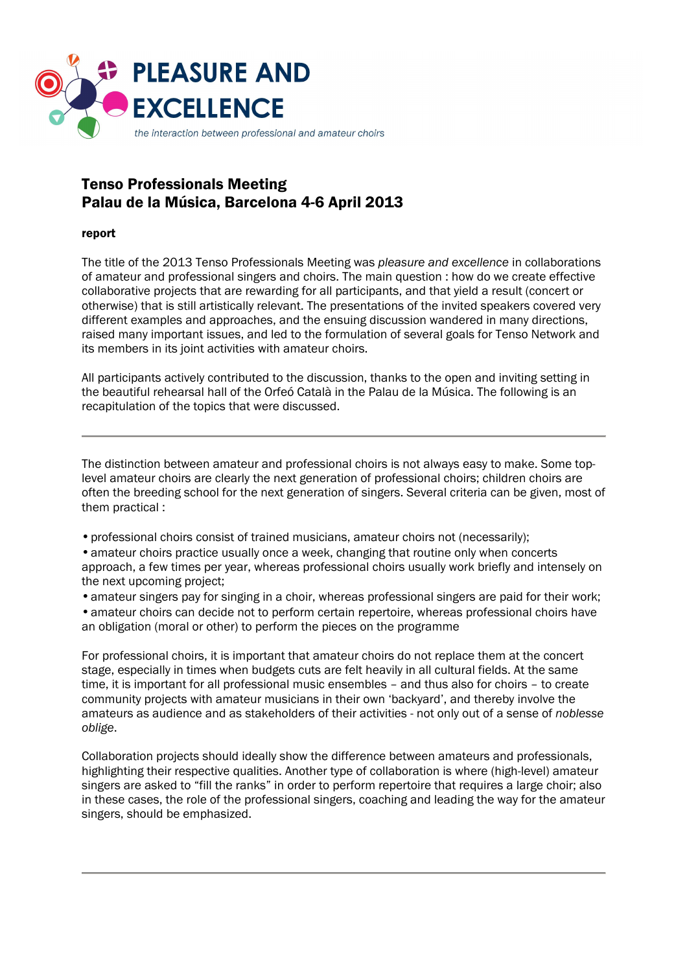

# Tenso Professionals Meeting Palau de la Música, Barcelona 4-6 April 2013

# report

The title of the 2013 Tenso Professionals Meeting was *pleasure and excellence* in collaborations of amateur and professional singers and choirs. The main question : how do we create effective collaborative projects that are rewarding for all participants, and that yield a result (concert or otherwise) that is still artistically relevant. The presentations of the invited speakers covered very different examples and approaches, and the ensuing discussion wandered in many directions, raised many important issues, and led to the formulation of several goals for Tenso Network and its members in its joint activities with amateur choirs.

All participants actively contributed to the discussion, thanks to the open and inviting setting in the beautiful rehearsal hall of the Orfeó Català in the Palau de la Música. The following is an recapitulation of the topics that were discussed.

The distinction between amateur and professional choirs is not always easy to make. Some toplevel amateur choirs are clearly the next generation of professional choirs; children choirs are often the breeding school for the next generation of singers. Several criteria can be given, most of them practical :

- professional choirs consist of trained musicians, amateur choirs not (necessarily);
- amateur choirs practice usually once a week, changing that routine only when concerts approach, a few times per year, whereas professional choirs usually work briefly and intensely on the next upcoming project;
- amateur singers pay for singing in a choir, whereas professional singers are paid for their work; • amateur choirs can decide not to perform certain repertoire, whereas professional choirs have an obligation (moral or other) to perform the pieces on the programme

For professional choirs, it is important that amateur choirs do not replace them at the concert stage, especially in times when budgets cuts are felt heavily in all cultural fields. At the same time, it is important for all professional music ensembles – and thus also for choirs – to create community projects with amateur musicians in their own 'backyard', and thereby involve the amateurs as audience and as stakeholders of their activities - not only out of a sense of *noblesse oblige*.

Collaboration projects should ideally show the difference between amateurs and professionals, highlighting their respective qualities. Another type of collaboration is where (high-level) amateur singers are asked to "fill the ranks" in order to perform repertoire that requires a large choir; also in these cases, the role of the professional singers, coaching and leading the way for the amateur singers, should be emphasized.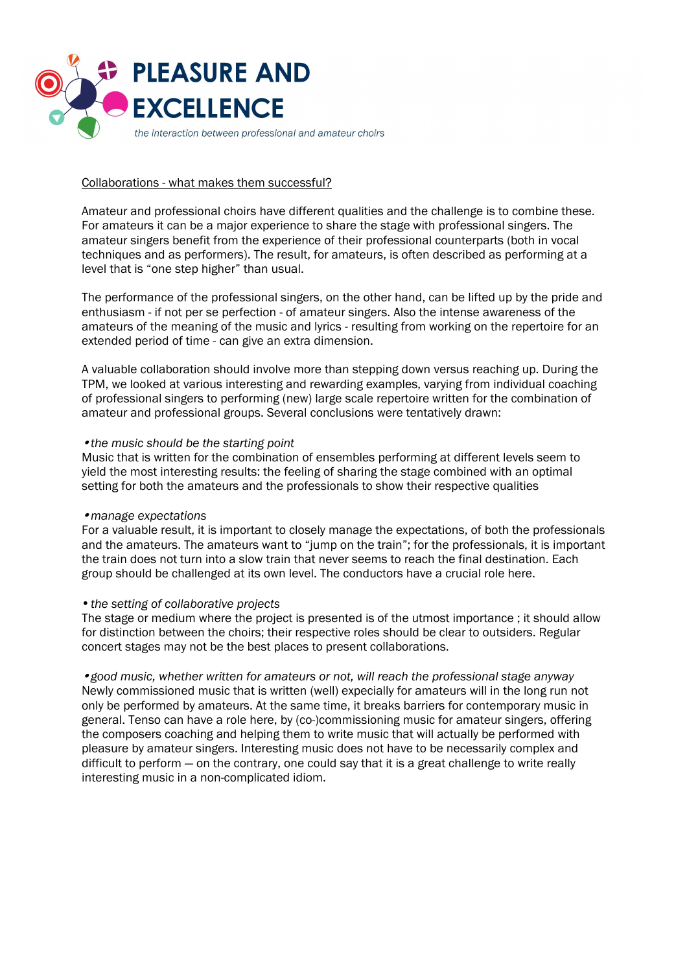

## Collaborations - what makes them successful?

Amateur and professional choirs have different qualities and the challenge is to combine these. For amateurs it can be a major experience to share the stage with professional singers. The amateur singers benefit from the experience of their professional counterparts (both in vocal techniques and as performers). The result, for amateurs, is often described as performing at a level that is "one step higher" than usual.

The performance of the professional singers, on the other hand, can be lifted up by the pride and enthusiasm - if not per se perfection - of amateur singers. Also the intense awareness of the amateurs of the meaning of the music and lyrics - resulting from working on the repertoire for an extended period of time - can give an extra dimension.

A valuable collaboration should involve more than stepping down versus reaching up. During the TPM, we looked at various interesting and rewarding examples, varying from individual coaching of professional singers to performing (new) large scale repertoire written for the combination of amateur and professional groups. Several conclusions were tentatively drawn:

#### • *the music should be the starting point*

Music that is written for the combination of ensembles performing at different levels seem to yield the most interesting results: the feeling of sharing the stage combined with an optimal setting for both the amateurs and the professionals to show their respective qualities

#### • *manage expectations*

For a valuable result, it is important to closely manage the expectations, of both the professionals and the amateurs. The amateurs want to "jump on the train"; for the professionals, it is important the train does not turn into a slow train that never seems to reach the final destination. Each group should be challenged at its own level. The conductors have a crucial role here.

### • *the setting of collaborative projects*

The stage or medium where the project is presented is of the utmost importance ; it should allow for distinction between the choirs; their respective roles should be clear to outsiders. Regular concert stages may not be the best places to present collaborations.

• *good music, whether written for amateurs or not, will reach the professional stage anyway*  Newly commissioned music that is written (well) expecially for amateurs will in the long run not only be performed by amateurs. At the same time, it breaks barriers for contemporary music in general. Tenso can have a role here, by (co-)commissioning music for amateur singers, offering the composers coaching and helping them to write music that will actually be performed with pleasure by amateur singers. Interesting music does not have to be necessarily complex and difficult to perform — on the contrary, one could say that it is a great challenge to write really interesting music in a non-complicated idiom.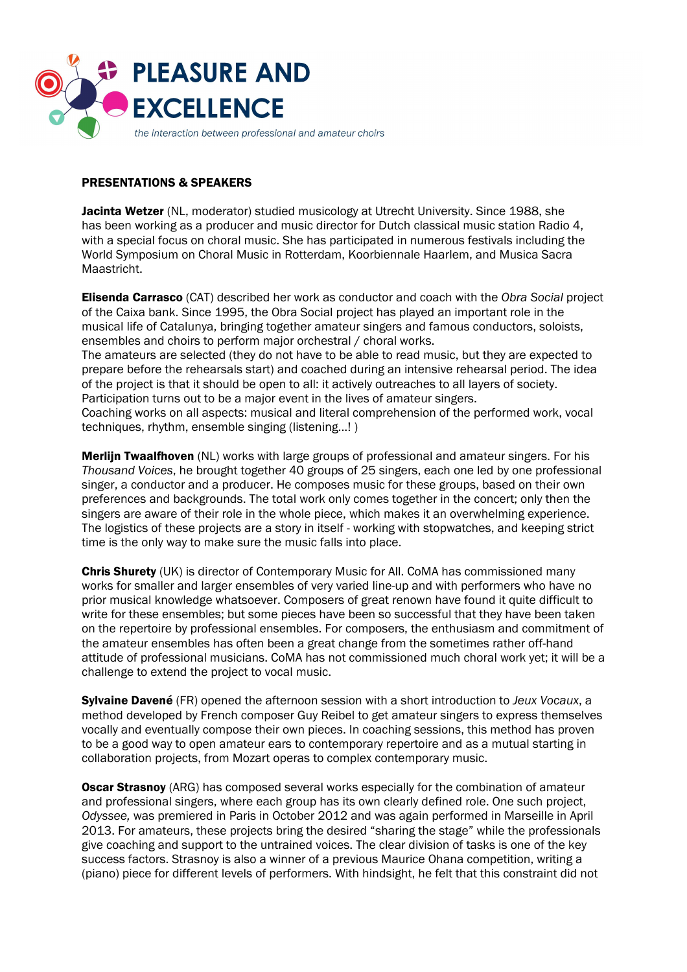

# PRESENTATIONS & SPEAKERS

Jacinta Wetzer (NL, moderator) studied musicology at Utrecht University. Since 1988, she has been working as a producer and music director for Dutch classical music station Radio 4, with a special focus on choral music. She has participated in numerous festivals including the World Symposium on Choral Music in Rotterdam, Koorbiennale Haarlem, and Musica Sacra Maastricht.

Elisenda Carrasco (CAT) described her work as conductor and coach with the *Obra Social* project of the Caixa bank. Since 1995, the Obra Social project has played an important role in the musical life of Catalunya, bringing together amateur singers and famous conductors, soloists, ensembles and choirs to perform major orchestral / choral works.

The amateurs are selected (they do not have to be able to read music, but they are expected to prepare before the rehearsals start) and coached during an intensive rehearsal period. The idea of the project is that it should be open to all: it actively outreaches to all layers of society. Participation turns out to be a major event in the lives of amateur singers.

Coaching works on all aspects: musical and literal comprehension of the performed work, vocal techniques, rhythm, ensemble singing (listening...! )

**Merlijn Twaalfhoven** (NL) works with large groups of professional and amateur singers. For his *Thousand Voices*, he brought together 40 groups of 25 singers, each one led by one professional singer, a conductor and a producer. He composes music for these groups, based on their own preferences and backgrounds. The total work only comes together in the concert; only then the singers are aware of their role in the whole piece, which makes it an overwhelming experience. The logistics of these projects are a story in itself - working with stopwatches, and keeping strict time is the only way to make sure the music falls into place.

Chris Shurety (UK) is director of Contemporary Music for All. CoMA has commissioned many works for smaller and larger ensembles of very varied line-up and with performers who have no prior musical knowledge whatsoever. Composers of great renown have found it quite difficult to write for these ensembles; but some pieces have been so successful that they have been taken on the repertoire by professional ensembles. For composers, the enthusiasm and commitment of the amateur ensembles has often been a great change from the sometimes rather off-hand attitude of professional musicians. CoMA has not commissioned much choral work yet; it will be a challenge to extend the project to vocal music.

Sylvaine Davené (FR) opened the afternoon session with a short introduction to *Jeux Vocaux*, a method developed by French composer Guy Reibel to get amateur singers to express themselves vocally and eventually compose their own pieces. In coaching sessions, this method has proven to be a good way to open amateur ears to contemporary repertoire and as a mutual starting in collaboration projects, from Mozart operas to complex contemporary music.

**Oscar Strasnoy** (ARG) has composed several works especially for the combination of amateur and professional singers, where each group has its own clearly defined role. One such project, *Odyssee,* was premiered in Paris in October 2012 and was again performed in Marseille in April 2013. For amateurs, these projects bring the desired "sharing the stage" while the professionals give coaching and support to the untrained voices. The clear division of tasks is one of the key success factors. Strasnoy is also a winner of a previous Maurice Ohana competition, writing a (piano) piece for different levels of performers. With hindsight, he felt that this constraint did not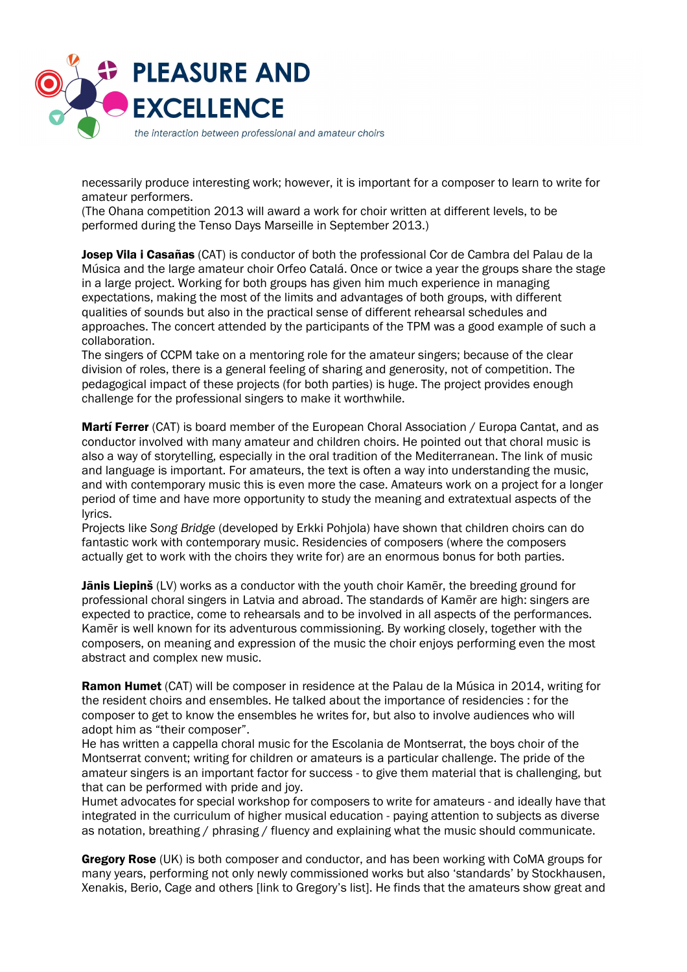

necessarily produce interesting work; however, it is important for a composer to learn to write for amateur performers.

(The Ohana competition 2013 will award a work for choir written at different levels, to be performed during the Tenso Days Marseille in September 2013.)

**Josep Vila i Casañas** (CAT) is conductor of both the professional Cor de Cambra del Palau de la Música and the large amateur choir Orfeo Catalá. Once or twice a year the groups share the stage in a large project. Working for both groups has given him much experience in managing expectations, making the most of the limits and advantages of both groups, with different qualities of sounds but also in the practical sense of different rehearsal schedules and approaches. The concert attended by the participants of the TPM was a good example of such a collaboration.

The singers of CCPM take on a mentoring role for the amateur singers; because of the clear division of roles, there is a general feeling of sharing and generosity, not of competition. The pedagogical impact of these projects (for both parties) is huge. The project provides enough challenge for the professional singers to make it worthwhile.

**Martí Ferrer** (CAT) is board member of the European Choral Association / Europa Cantat, and as conductor involved with many amateur and children choirs. He pointed out that choral music is also a way of storytelling, especially in the oral tradition of the Mediterranean. The link of music and language is important. For amateurs, the text is often a way into understanding the music, and with contemporary music this is even more the case. Amateurs work on a project for a longer period of time and have more opportunity to study the meaning and extratextual aspects of the lyrics.

Projects like *Song Bridge* (developed by Erkki Pohjola) have shown that children choirs can do fantastic work with contemporary music. Residencies of composers (where the composers actually get to work with the choirs they write for) are an enormous bonus for both parties.

**Jānis Liepinš** (LV) works as a conductor with the youth choir Kamer, the breeding ground for professional choral singers in Latvia and abroad. The standards of Kamēr are high: singers are expected to practice, come to rehearsals and to be involved in all aspects of the performances. Kamēr is well known for its adventurous commissioning. By working closely, together with the composers, on meaning and expression of the music the choir enjoys performing even the most abstract and complex new music.

**Ramon Humet** (CAT) will be composer in residence at the Palau de la Música in 2014, writing for the resident choirs and ensembles. He talked about the importance of residencies : for the composer to get to know the ensembles he writes for, but also to involve audiences who will adopt him as "their composer".

He has written a cappella choral music for the Escolania de Montserrat, the boys choir of the Montserrat convent; writing for children or amateurs is a particular challenge. The pride of the amateur singers is an important factor for success - to give them material that is challenging, but that can be performed with pride and joy.

Humet advocates for special workshop for composers to write for amateurs - and ideally have that integrated in the curriculum of higher musical education - paying attention to subjects as diverse as notation, breathing / phrasing / fluency and explaining what the music should communicate.

Gregory Rose (UK) is both composer and conductor, and has been working with CoMA groups for many years, performing not only newly commissioned works but also 'standards' by Stockhausen, Xenakis, Berio, Cage and others [link to Gregory's list]. He finds that the amateurs show great and